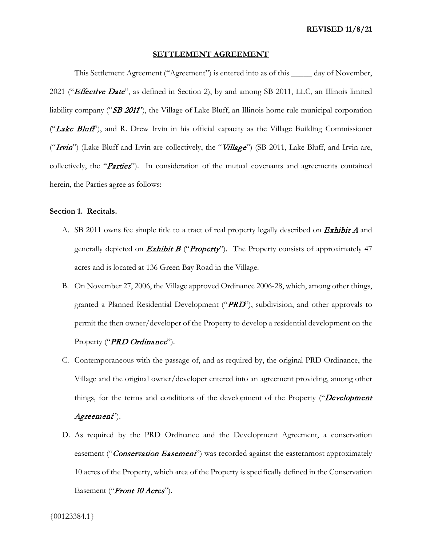#### **SETTLEMENT AGREEMENT**

This Settlement Agreement ("Agreement") is entered into as of this \_\_\_\_\_ day of November, 2021 ("*Effective Date*", as defined in Section 2), by and among SB 2011, LLC, an Illinois limited liability company ("SB 2011"), the Village of Lake Bluff, an Illinois home rule municipal corporation ("Lake Bluff"), and R. Drew Irvin in his official capacity as the Village Building Commissioner ("Irvin") (Lake Bluff and Irvin are collectively, the "Village") (SB 2011, Lake Bluff, and Irvin are, collectively, the "**Parties**"). In consideration of the mutual covenants and agreements contained herein, the Parties agree as follows:

#### **Section 1. Recitals.**

- A. SB 2011 owns fee simple title to a tract of real property legally described on **Exhibit A** and generally depicted on **Exhibit B** ("**Property**"). The Property consists of approximately 47 acres and is located at 136 Green Bay Road in the Village.
- B. On November 27, 2006, the Village approved Ordinance 2006-28, which, among other things, granted a Planned Residential Development (" $PRD$ "), subdivision, and other approvals to permit the then owner/developer of the Property to develop a residential development on the Property ("PRD Ordinance").
- C. Contemporaneous with the passage of, and as required by, the original PRD Ordinance, the Village and the original owner/developer entered into an agreement providing, among other things, for the terms and conditions of the development of the Property ("Development Agreement").
- D. As required by the PRD Ordinance and the Development Agreement, a conservation easement ("Conservation Easement") was recorded against the easternmost approximately 10 acres of the Property, which area of the Property is specifically defined in the Conservation Easement ("Front 10 Acres").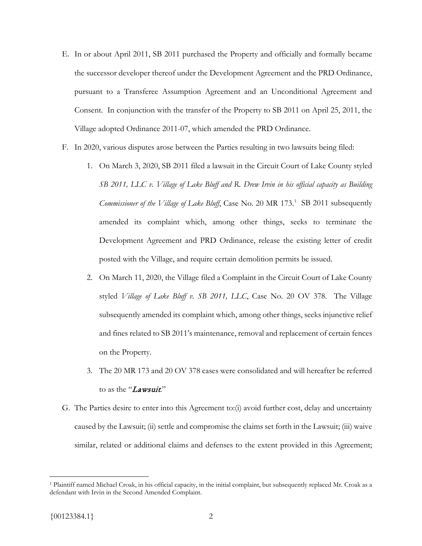- E. In or about April 2011, SB 2011 purchased the Property and officially and formally became the successor developer thereof under the Development Agreement and the PRD Ordinance, pursuant to a Transferee Assumption Agreement and an Unconditional Agreement and Consent. In conjunction with the transfer of the Property to SB 2011 on April 25, 2011, the Village adopted Ordinance 2011-07, which amended the PRD Ordinance.
- F. In 2020, various disputes arose between the Parties resulting in two lawsuits being filed:
	- 1. On March 3, 2020, SB 2011 filed a lawsuit in the Circuit Court of Lake County styled *SB 2011, LLC v. Village of Lake Bluff and R. Drew Irvin in his official capacity as Building Commissioner of the Village of Lake Bluff*, Case No. 20 MR [1](#page-1-0)73.<sup>1</sup> SB 2011 subsequently amended its complaint which, among other things, seeks to terminate the Development Agreement and PRD Ordinance, release the existing letter of credit posted with the Village, and require certain demolition permits be issued.
	- 2. On March 11, 2020, the Village filed a Complaint in the Circuit Court of Lake County styled *Village of Lake Bluff v. SB 2011, LLC*, Case No. 20 OV 378. The Village subsequently amended its complaint which, among other things, seeks injunctive relief and fines related to SB 2011's maintenance, removal and replacement of certain fences on the Property.
	- 3. The 20 MR 173 and 20 OV 378 cases were consolidated and will hereafter be referred to as the "**Lawsuit**."
- G. The Parties desire to enter into this Agreement to:(i) avoid further cost, delay and uncertainty caused by the Lawsuit; (ii) settle and compromise the claims set forth in the Lawsuit; (iii) waive similar, related or additional claims and defenses to the extent provided in this Agreement;

<span id="page-1-0"></span> <sup>1</sup> Plaintiff named Michael Croak, in his official capacity, in the initial complaint, but subsequently replaced Mr. Croak as a defendant with Irvin in the Second Amended Complaint.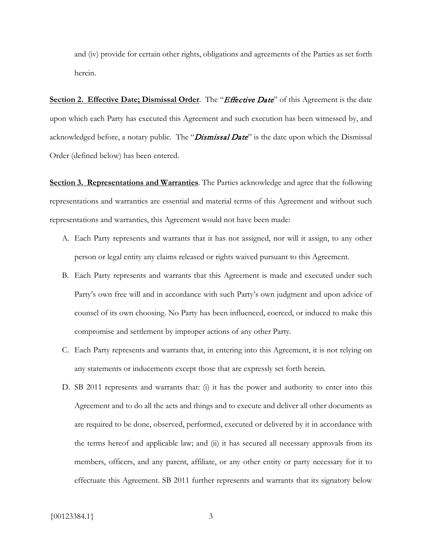and (iv) provide for certain other rights, obligations and agreements of the Parties as set forth herein.

**Section 2. Effective Date; Dismissal Order**. The "*Effective Date*" of this Agreement is the date upon which each Party has executed this Agreement and such execution has been witnessed by, and acknowledged before, a notary public. The "*Dismissal Date*" is the date upon which the Dismissal Order (defined below) has been entered.

**Section 3. Representations and Warranties**. The Parties acknowledge and agree that the following representations and warranties are essential and material terms of this Agreement and without such representations and warranties, this Agreement would not have been made:

- A. Each Party represents and warrants that it has not assigned, nor will it assign, to any other person or legal entity any claims released or rights waived pursuant to this Agreement.
- B. Each Party represents and warrants that this Agreement is made and executed under such Party's own free will and in accordance with such Party's own judgment and upon advice of counsel of its own choosing. No Party has been influenced, coerced, or induced to make this compromise and settlement by improper actions of any other Party.
- C. Each Party represents and warrants that, in entering into this Agreement, it is not relying on any statements or inducements except those that are expressly set forth herein.
- D. SB 2011 represents and warrants that: (i) it has the power and authority to enter into this Agreement and to do all the acts and things and to execute and deliver all other documents as are required to be done, observed, performed, executed or delivered by it in accordance with the terms hereof and applicable law; and (ii) it has secured all necessary approvals from its members, officers, and any parent, affiliate, or any other entity or party necessary for it to effectuate this Agreement. SB 2011 further represents and warrants that its signatory below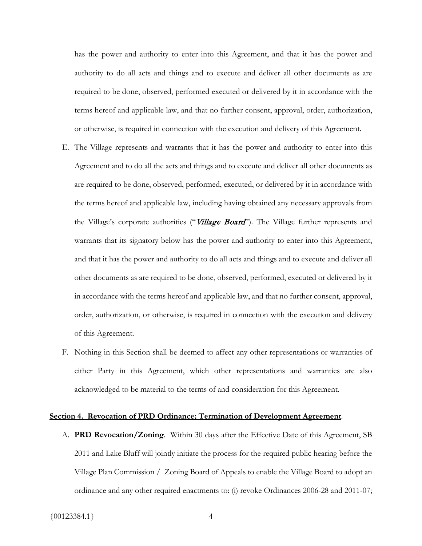has the power and authority to enter into this Agreement, and that it has the power and authority to do all acts and things and to execute and deliver all other documents as are required to be done, observed, performed executed or delivered by it in accordance with the terms hereof and applicable law, and that no further consent, approval, order, authorization, or otherwise, is required in connection with the execution and delivery of this Agreement.

- E. The Village represents and warrants that it has the power and authority to enter into this Agreement and to do all the acts and things and to execute and deliver all other documents as are required to be done, observed, performed, executed, or delivered by it in accordance with the terms hereof and applicable law, including having obtained any necessary approvals from the Village's corporate authorities ("Village Board"). The Village further represents and warrants that its signatory below has the power and authority to enter into this Agreement, and that it has the power and authority to do all acts and things and to execute and deliver all other documents as are required to be done, observed, performed, executed or delivered by it in accordance with the terms hereof and applicable law, and that no further consent, approval, order, authorization, or otherwise, is required in connection with the execution and delivery of this Agreement.
- F. Nothing in this Section shall be deemed to affect any other representations or warranties of either Party in this Agreement, which other representations and warranties are also acknowledged to be material to the terms of and consideration for this Agreement.

#### **Section 4. Revocation of PRD Ordinance; Termination of Development Agreement**.

A. **PRD Revocation/Zoning**. Within 30 days after the Effective Date of this Agreement, SB 2011 and Lake Bluff will jointly initiate the process for the required public hearing before the Village Plan Commission / Zoning Board of Appeals to enable the Village Board to adopt an ordinance and any other required enactments to: (i) revoke Ordinances 2006-28 and 2011-07;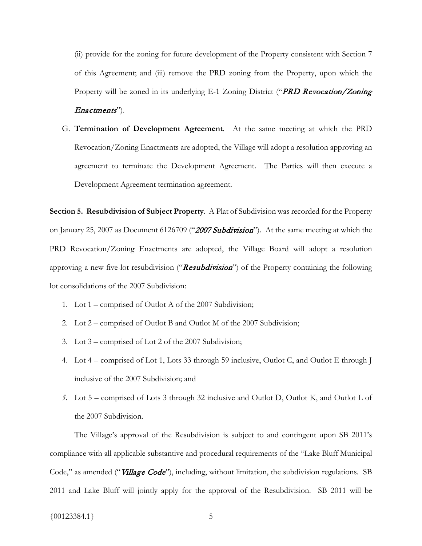(ii) provide for the zoning for future development of the Property consistent with Section 7 of this Agreement; and (iii) remove the PRD zoning from the Property, upon which the Property will be zoned in its underlying E-1 Zoning District ("PRD Revocation/Zoning Enactments").

G. **Termination of Development Agreement**. At the same meeting at which the PRD Revocation/Zoning Enactments are adopted, the Village will adopt a resolution approving an agreement to terminate the Development Agreement. The Parties will then execute a Development Agreement termination agreement.

**Section 5. Resubdivision of Subject Property**. A Plat of Subdivision was recorded for the Property on January 25, 2007 as Document 6126709 ("2007 Subdivision"). At the same meeting at which the PRD Revocation/Zoning Enactments are adopted, the Village Board will adopt a resolution approving a new five-lot resubdivision ("**Resubdivision**") of the Property containing the following lot consolidations of the 2007 Subdivision:

- 1. Lot 1 comprised of Outlot A of the 2007 Subdivision;
- 2. Lot 2 comprised of Outlot B and Outlot M of the 2007 Subdivision;
- 3. Lot 3 comprised of Lot 2 of the 2007 Subdivision;
- 4. Lot 4 comprised of Lot 1, Lots 33 through 59 inclusive, Outlot C, and Outlot E through J inclusive of the 2007 Subdivision; and
- *5.* Lot 5 comprised of Lots 3 through 32 inclusive and Outlot D, Outlot K, and Outlot L of the 2007 Subdivision.

The Village's approval of the Resubdivision is subject to and contingent upon SB 2011's compliance with all applicable substantive and procedural requirements of the "Lake Bluff Municipal Code," as amended ("Village Code"), including, without limitation, the subdivision regulations. SB 2011 and Lake Bluff will jointly apply for the approval of the Resubdivision. SB 2011 will be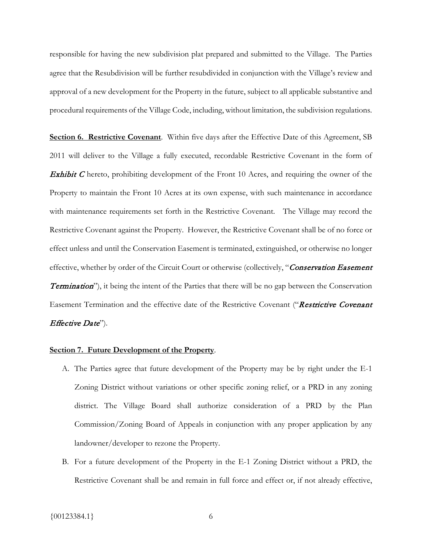responsible for having the new subdivision plat prepared and submitted to the Village. The Parties agree that the Resubdivision will be further resubdivided in conjunction with the Village's review and approval of a new development for the Property in the future, subject to all applicable substantive and procedural requirements of the Village Code, including, without limitation, the subdivision regulations.

**Section 6. Restrictive Covenant**. Within five days after the Effective Date of this Agreement, SB 2011 will deliver to the Village a fully executed, recordable Restrictive Covenant in the form of **Exhibit C** hereto, prohibiting development of the Front 10 Acres, and requiring the owner of the Property to maintain the Front 10 Acres at its own expense, with such maintenance in accordance with maintenance requirements set forth in the Restrictive Covenant. The Village may record the Restrictive Covenant against the Property. However, the Restrictive Covenant shall be of no force or effect unless and until the Conservation Easement is terminated, extinguished, or otherwise no longer effective, whether by order of the Circuit Court or otherwise (collectively, "Conservation Easement **Termination**"), it being the intent of the Parties that there will be no gap between the Conservation Easement Termination and the effective date of the Restrictive Covenant ("Restrictive Covenant Effective Date").

#### **Section 7. Future Development of the Property**.

- A. The Parties agree that future development of the Property may be by right under the E-1 Zoning District without variations or other specific zoning relief, or a PRD in any zoning district. The Village Board shall authorize consideration of a PRD by the Plan Commission/Zoning Board of Appeals in conjunction with any proper application by any landowner/developer to rezone the Property.
- B. For a future development of the Property in the E-1 Zoning District without a PRD, the Restrictive Covenant shall be and remain in full force and effect or, if not already effective,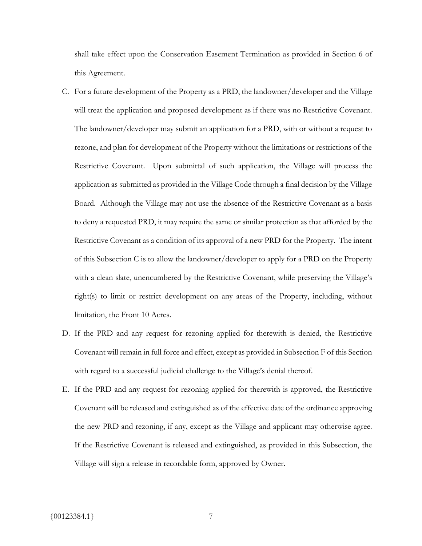shall take effect upon the Conservation Easement Termination as provided in Section 6 of this Agreement.

- C. For a future development of the Property as a PRD, the landowner/developer and the Village will treat the application and proposed development as if there was no Restrictive Covenant. The landowner/developer may submit an application for a PRD, with or without a request to rezone, and plan for development of the Property without the limitations or restrictions of the Restrictive Covenant. Upon submittal of such application, the Village will process the application as submitted as provided in the Village Code through a final decision by the Village Board. Although the Village may not use the absence of the Restrictive Covenant as a basis to deny a requested PRD, it may require the same or similar protection as that afforded by the Restrictive Covenant as a condition of its approval of a new PRD for the Property. The intent of this Subsection C is to allow the landowner/developer to apply for a PRD on the Property with a clean slate, unencumbered by the Restrictive Covenant, while preserving the Village's right(s) to limit or restrict development on any areas of the Property, including, without limitation, the Front 10 Acres.
- D. If the PRD and any request for rezoning applied for therewith is denied, the Restrictive Covenant will remain in full force and effect, except as provided in Subsection F of this Section with regard to a successful judicial challenge to the Village's denial thereof.
- E. If the PRD and any request for rezoning applied for therewith is approved, the Restrictive Covenant will be released and extinguished as of the effective date of the ordinance approving the new PRD and rezoning, if any, except as the Village and applicant may otherwise agree. If the Restrictive Covenant is released and extinguished, as provided in this Subsection, the Village will sign a release in recordable form, approved by Owner.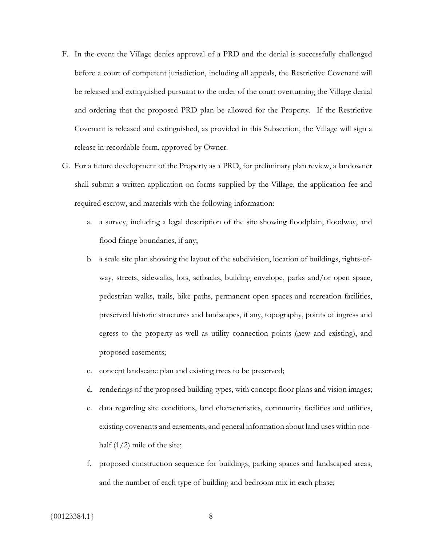- F. In the event the Village denies approval of a PRD and the denial is successfully challenged before a court of competent jurisdiction, including all appeals, the Restrictive Covenant will be released and extinguished pursuant to the order of the court overturning the Village denial and ordering that the proposed PRD plan be allowed for the Property. If the Restrictive Covenant is released and extinguished, as provided in this Subsection, the Village will sign a release in recordable form, approved by Owner.
- G. For a future development of the Property as a PRD, for preliminary plan review, a landowner shall submit a written application on forms supplied by the Village, the application fee and required escrow, and materials with the following information:
	- a. a survey, including a legal description of the site showing floodplain, floodway, and flood fringe boundaries, if any;
	- b. a scale site plan showing the layout of the subdivision, location of buildings, rights-ofway, streets, sidewalks, lots, setbacks, building envelope, parks and/or open space, pedestrian walks, trails, bike paths, permanent open spaces and recreation facilities, preserved historic structures and landscapes, if any, topography, points of ingress and egress to the property as well as utility connection points (new and existing), and proposed easements;
	- c. concept landscape plan and existing trees to be preserved;
	- d. renderings of the proposed building types, with concept floor plans and vision images;
	- e. data regarding site conditions, land characteristics, community facilities and utilities, existing covenants and easements, and general information about land uses within onehalf  $(1/2)$  mile of the site;
	- f. proposed construction sequence for buildings, parking spaces and landscaped areas, and the number of each type of building and bedroom mix in each phase;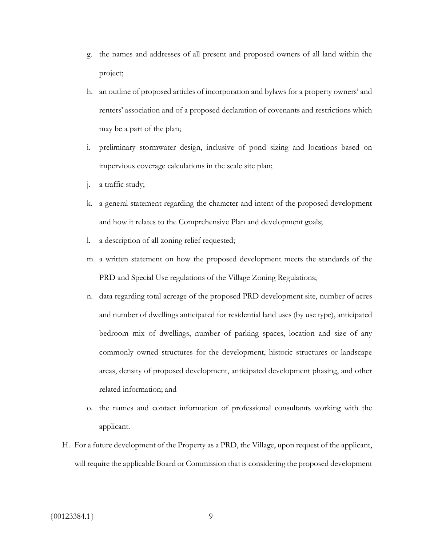- g. the names and addresses of all present and proposed owners of all land within the project;
- h. an outline of proposed articles of incorporation and bylaws for a property owners' and renters' association and of a proposed declaration of covenants and restrictions which may be a part of the plan;
- i. preliminary stormwater design, inclusive of pond sizing and locations based on impervious coverage calculations in the scale site plan;
- j. a traffic study;
- k. a general statement regarding the character and intent of the proposed development and how it relates to the Comprehensive Plan and development goals;
- l. a description of all zoning relief requested;
- m. a written statement on how the proposed development meets the standards of the PRD and Special Use regulations of the Village Zoning Regulations;
- n. data regarding total acreage of the proposed PRD development site, number of acres and number of dwellings anticipated for residential land uses (by use type), anticipated bedroom mix of dwellings, number of parking spaces, location and size of any commonly owned structures for the development, historic structures or landscape areas, density of proposed development, anticipated development phasing, and other related information; and
- o. the names and contact information of professional consultants working with the applicant.
- H. For a future development of the Property as a PRD, the Village, upon request of the applicant, will require the applicable Board or Commission that is considering the proposed development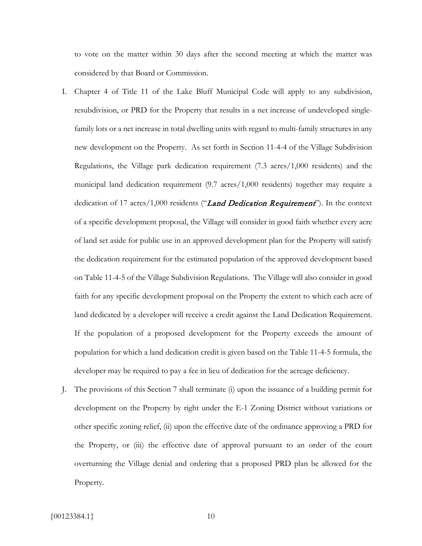to vote on the matter within 30 days after the second meeting at which the matter was considered by that Board or Commission.

- I. Chapter 4 of Title 11 of the Lake Bluff Municipal Code will apply to any subdivision, resubdivision, or PRD for the Property that results in a net increase of undeveloped singlefamily lots or a net increase in total dwelling units with regard to multi-family structures in any new development on the Property. As set forth in Section 11-4-4 of the Village Subdivision Regulations, the Village park dedication requirement (7.3 acres/1,000 residents) and the municipal land dedication requirement (9.7 acres/1,000 residents) together may require a dedication of 17 acres/1,000 residents ("Land Dedication Requirement"). In the context of a specific development proposal, the Village will consider in good faith whether every acre of land set aside for public use in an approved development plan for the Property will satisfy the dedication requirement for the estimated population of the approved development based on Table 11-4-5 of the Village Subdivision Regulations. The Village will also consider in good faith for any specific development proposal on the Property the extent to which each acre of land dedicated by a developer will receive a credit against the Land Dedication Requirement. If the population of a proposed development for the Property exceeds the amount of population for which a land dedication credit is given based on the Table 11-4-5 formula, the developer may be required to pay a fee in lieu of dedication for the acreage deficiency.
- J. The provisions of this Section 7 shall terminate (i) upon the issuance of a building permit for development on the Property by right under the E-1 Zoning District without variations or other specific zoning relief, (ii) upon the effective date of the ordinance approving a PRD for the Property, or (iii) the effective date of approval pursuant to an order of the court overturning the Village denial and ordering that a proposed PRD plan be allowed for the Property.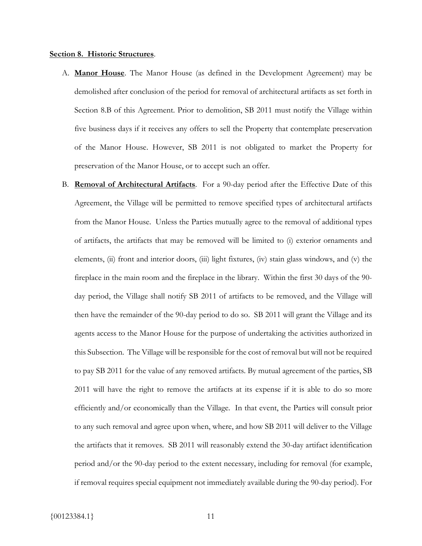#### **Section 8. Historic Structures**.

- A. **Manor House**. The Manor House (as defined in the Development Agreement) may be demolished after conclusion of the period for removal of architectural artifacts as set forth in Section 8.B of this Agreement. Prior to demolition, SB 2011 must notify the Village within five business days if it receives any offers to sell the Property that contemplate preservation of the Manor House. However, SB 2011 is not obligated to market the Property for preservation of the Manor House, or to accept such an offer.
- B. **Removal of Architectural Artifacts**. For a 90-day period after the Effective Date of this Agreement, the Village will be permitted to remove specified types of architectural artifacts from the Manor House. Unless the Parties mutually agree to the removal of additional types of artifacts, the artifacts that may be removed will be limited to (i) exterior ornaments and elements, (ii) front and interior doors, (iii) light fixtures, (iv) stain glass windows, and (v) the fireplace in the main room and the fireplace in the library. Within the first 30 days of the 90 day period, the Village shall notify SB 2011 of artifacts to be removed, and the Village will then have the remainder of the 90-day period to do so. SB 2011 will grant the Village and its agents access to the Manor House for the purpose of undertaking the activities authorized in this Subsection. The Village will be responsible for the cost of removal but will not be required to pay SB 2011 for the value of any removed artifacts. By mutual agreement of the parties, SB 2011 will have the right to remove the artifacts at its expense if it is able to do so more efficiently and/or economically than the Village. In that event, the Parties will consult prior to any such removal and agree upon when, where, and how SB 2011 will deliver to the Village the artifacts that it removes. SB 2011 will reasonably extend the 30-day artifact identification period and/or the 90-day period to the extent necessary, including for removal (for example, if removal requires special equipment not immediately available during the 90-day period). For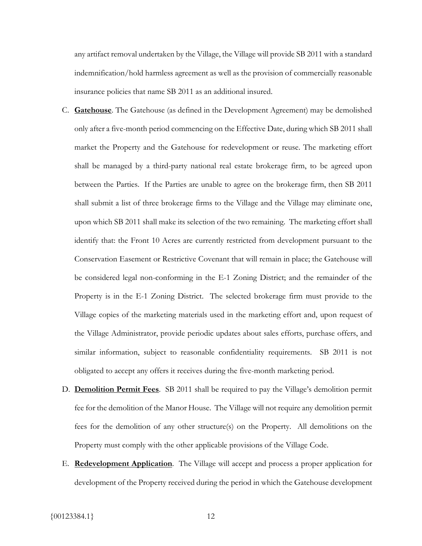any artifact removal undertaken by the Village, the Village will provide SB 2011 with a standard indemnification/hold harmless agreement as well as the provision of commercially reasonable insurance policies that name SB 2011 as an additional insured.

- C. **Gatehouse**. The Gatehouse (as defined in the Development Agreement) may be demolished only after a five-month period commencing on the Effective Date, during which SB 2011 shall market the Property and the Gatehouse for redevelopment or reuse. The marketing effort shall be managed by a third-party national real estate brokerage firm, to be agreed upon between the Parties. If the Parties are unable to agree on the brokerage firm, then SB 2011 shall submit a list of three brokerage firms to the Village and the Village may eliminate one, upon which SB 2011 shall make its selection of the two remaining. The marketing effort shall identify that: the Front 10 Acres are currently restricted from development pursuant to the Conservation Easement or Restrictive Covenant that will remain in place; the Gatehouse will be considered legal non-conforming in the E-1 Zoning District; and the remainder of the Property is in the E-1 Zoning District. The selected brokerage firm must provide to the Village copies of the marketing materials used in the marketing effort and, upon request of the Village Administrator, provide periodic updates about sales efforts, purchase offers, and similar information, subject to reasonable confidentiality requirements. SB 2011 is not obligated to accept any offers it receives during the five-month marketing period.
- D. **Demolition Permit Fees**. SB 2011 shall be required to pay the Village's demolition permit fee for the demolition of the Manor House. The Village will not require any demolition permit fees for the demolition of any other structure(s) on the Property. All demolitions on the Property must comply with the other applicable provisions of the Village Code.
- E. **Redevelopment Application**. The Village will accept and process a proper application for development of the Property received during the period in which the Gatehouse development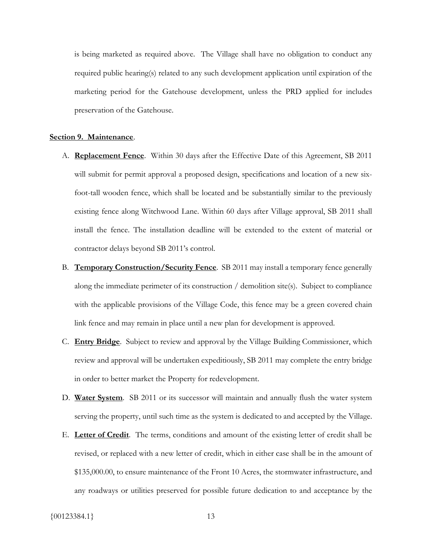is being marketed as required above. The Village shall have no obligation to conduct any required public hearing(s) related to any such development application until expiration of the marketing period for the Gatehouse development, unless the PRD applied for includes preservation of the Gatehouse.

#### **Section 9. Maintenance**.

- A. **Replacement Fence**. Within 30 days after the Effective Date of this Agreement, SB 2011 will submit for permit approval a proposed design, specifications and location of a new sixfoot-tall wooden fence, which shall be located and be substantially similar to the previously existing fence along Witchwood Lane. Within 60 days after Village approval, SB 2011 shall install the fence. The installation deadline will be extended to the extent of material or contractor delays beyond SB 2011's control.
- B. **Temporary Construction/Security Fence**. SB 2011 may install a temporary fence generally along the immediate perimeter of its construction / demolition site(s). Subject to compliance with the applicable provisions of the Village Code, this fence may be a green covered chain link fence and may remain in place until a new plan for development is approved.
- C. **Entry Bridge**. Subject to review and approval by the Village Building Commissioner, which review and approval will be undertaken expeditiously, SB 2011 may complete the entry bridge in order to better market the Property for redevelopment.
- D. **Water System**. SB 2011 or its successor will maintain and annually flush the water system serving the property, until such time as the system is dedicated to and accepted by the Village.
- E. **Letter of Credit**. The terms, conditions and amount of the existing letter of credit shall be revised, or replaced with a new letter of credit, which in either case shall be in the amount of \$135,000.00, to ensure maintenance of the Front 10 Acres, the stormwater infrastructure, and any roadways or utilities preserved for possible future dedication to and acceptance by the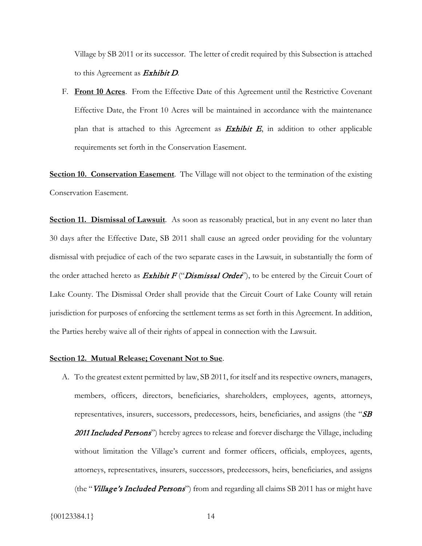Village by SB 2011 or its successor. The letter of credit required by this Subsection is attached to this Agreement as **Exhibit D**.

F. **Front 10 Acres**. From the Effective Date of this Agreement until the Restrictive Covenant Effective Date, the Front 10 Acres will be maintained in accordance with the maintenance plan that is attached to this Agreement as **Exhibit E**, in addition to other applicable requirements set forth in the Conservation Easement.

**Section 10. Conservation Easement**. The Village will not object to the termination of the existing Conservation Easement.

**Section 11. Dismissal of Lawsuit**. As soon as reasonably practical, but in any event no later than 30 days after the Effective Date, SB 2011 shall cause an agreed order providing for the voluntary dismissal with prejudice of each of the two separate cases in the Lawsuit, in substantially the form of the order attached hereto as **Exhibit F** ("**Dismissal Order**"), to be entered by the Circuit Court of Lake County. The Dismissal Order shall provide that the Circuit Court of Lake County will retain jurisdiction for purposes of enforcing the settlement terms as set forth in this Agreement. In addition, the Parties hereby waive all of their rights of appeal in connection with the Lawsuit.

#### **Section 12. Mutual Release; Covenant Not to Sue**.

A. To the greatest extent permitted by law, SB 2011, for itself and its respective owners, managers, members, officers, directors, beneficiaries, shareholders, employees, agents, attorneys, representatives, insurers, successors, predecessors, heirs, beneficiaries, and assigns (the " $SB$ 2011 Included Persons") hereby agrees to release and forever discharge the Village, including without limitation the Village's current and former officers, officials, employees, agents, attorneys, representatives, insurers, successors, predecessors, heirs, beneficiaries, and assigns (the "Village's Included Persons") from and regarding all claims SB 2011 has or might have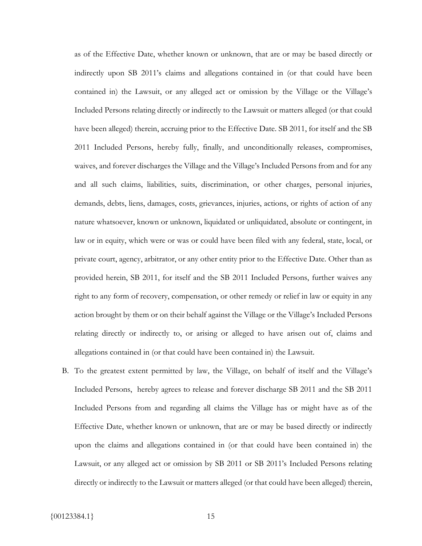as of the Effective Date, whether known or unknown, that are or may be based directly or indirectly upon SB 2011's claims and allegations contained in (or that could have been contained in) the Lawsuit, or any alleged act or omission by the Village or the Village's Included Persons relating directly or indirectly to the Lawsuit or matters alleged (or that could have been alleged) therein, accruing prior to the Effective Date. SB 2011, for itself and the SB 2011 Included Persons, hereby fully, finally, and unconditionally releases, compromises, waives, and forever discharges the Village and the Village's Included Persons from and for any and all such claims, liabilities, suits, discrimination, or other charges, personal injuries, demands, debts, liens, damages, costs, grievances, injuries, actions, or rights of action of any nature whatsoever, known or unknown, liquidated or unliquidated, absolute or contingent, in law or in equity, which were or was or could have been filed with any federal, state, local, or private court, agency, arbitrator, or any other entity prior to the Effective Date. Other than as provided herein, SB 2011, for itself and the SB 2011 Included Persons, further waives any right to any form of recovery, compensation, or other remedy or relief in law or equity in any action brought by them or on their behalf against the Village or the Village's Included Persons relating directly or indirectly to, or arising or alleged to have arisen out of, claims and allegations contained in (or that could have been contained in) the Lawsuit.

B. To the greatest extent permitted by law, the Village, on behalf of itself and the Village's Included Persons, hereby agrees to release and forever discharge SB 2011 and the SB 2011 Included Persons from and regarding all claims the Village has or might have as of the Effective Date, whether known or unknown, that are or may be based directly or indirectly upon the claims and allegations contained in (or that could have been contained in) the Lawsuit, or any alleged act or omission by SB 2011 or SB 2011's Included Persons relating directly or indirectly to the Lawsuit or matters alleged (or that could have been alleged) therein,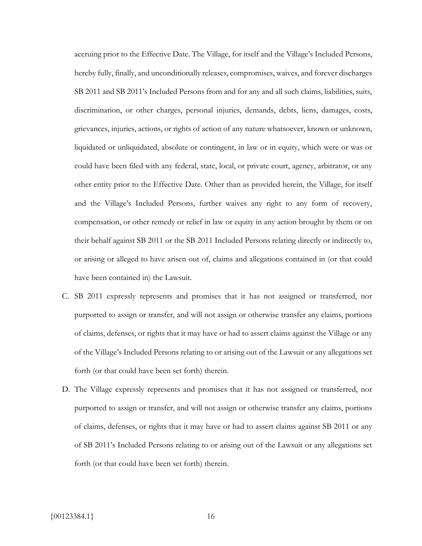accruing prior to the Effective Date. The Village, for itself and the Village's Included Persons, hereby fully, finally, and unconditionally releases, compromises, waives, and forever discharges SB 2011 and SB 2011's Included Persons from and for any and all such claims, liabilities, suits, discrimination, or other charges, personal injuries, demands, debts, liens, damages, costs, grievances, injuries, actions, or rights of action of any nature whatsoever, known or unknown, liquidated or unliquidated, absolute or contingent, in law or in equity, which were or was or could have been filed with any federal, state, local, or private court, agency, arbitrator, or any other entity prior to the Effective Date. Other than as provided herein, the Village, for itself and the Village's Included Persons, further waives any right to any form of recovery, compensation, or other remedy or relief in law or equity in any action brought by them or on their behalf against SB 2011 or the SB 2011 Included Persons relating directly or indirectly to, or arising or alleged to have arisen out of, claims and allegations contained in (or that could have been contained in) the Lawsuit.

- C. SB 2011 expressly represents and promises that it has not assigned or transferred, nor purported to assign or transfer, and will not assign or otherwise transfer any claims, portions of claims, defenses, or rights that it may have or had to assert claims against the Village or any of the Village's Included Persons relating to or arising out of the Lawsuit or any allegations set forth (or that could have been set forth) therein.
- D. The Village expressly represents and promises that it has not assigned or transferred, nor purported to assign or transfer, and will not assign or otherwise transfer any claims, portions of claims, defenses, or rights that it may have or had to assert claims against SB 2011 or any of SB 2011's Included Persons relating to or arising out of the Lawsuit or any allegations set forth (or that could have been set forth) therein.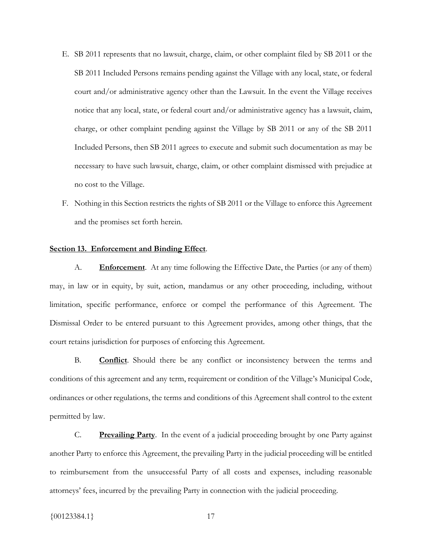- E. SB 2011 represents that no lawsuit, charge, claim, or other complaint filed by SB 2011 or the SB 2011 Included Persons remains pending against the Village with any local, state, or federal court and/or administrative agency other than the Lawsuit. In the event the Village receives notice that any local, state, or federal court and/or administrative agency has a lawsuit, claim, charge, or other complaint pending against the Village by SB 2011 or any of the SB 2011 Included Persons, then SB 2011 agrees to execute and submit such documentation as may be necessary to have such lawsuit, charge, claim, or other complaint dismissed with prejudice at no cost to the Village.
- F. Nothing in this Section restricts the rights of SB 2011 or the Village to enforce this Agreement and the promises set forth herein.

#### **Section 13. Enforcement and Binding Effect**.

A. **Enforcement**. At any time following the Effective Date, the Parties (or any of them) may, in law or in equity, by suit, action, mandamus or any other proceeding, including, without limitation, specific performance, enforce or compel the performance of this Agreement. The Dismissal Order to be entered pursuant to this Agreement provides, among other things, that the court retains jurisdiction for purposes of enforcing this Agreement.

B. **Conflict**. Should there be any conflict or inconsistency between the terms and conditions of this agreement and any term, requirement or condition of the Village's Municipal Code, ordinances or other regulations, the terms and conditions of this Agreement shall control to the extent permitted by law.

C. **Prevailing Party**. In the event of a judicial proceeding brought by one Party against another Party to enforce this Agreement, the prevailing Party in the judicial proceeding will be entitled to reimbursement from the unsuccessful Party of all costs and expenses, including reasonable attorneys' fees, incurred by the prevailing Party in connection with the judicial proceeding.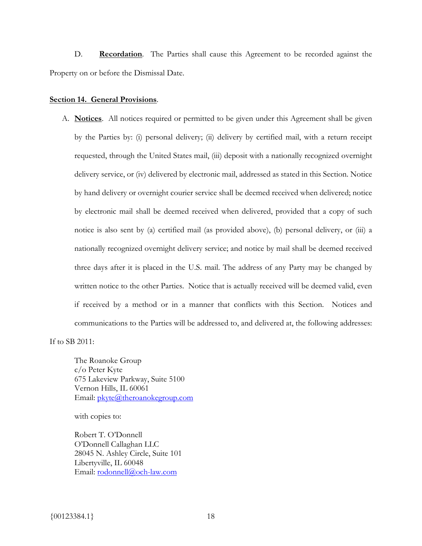D. **Recordation**. The Parties shall cause this Agreement to be recorded against the Property on or before the Dismissal Date.

#### **Section 14. General Provisions**.

A. **Notices**. All notices required or permitted to be given under this Agreement shall be given by the Parties by: (i) personal delivery; (ii) delivery by certified mail, with a return receipt requested, through the United States mail, (iii) deposit with a nationally recognized overnight delivery service, or (iv) delivered by electronic mail, addressed as stated in this Section. Notice by hand delivery or overnight courier service shall be deemed received when delivered; notice by electronic mail shall be deemed received when delivered, provided that a copy of such notice is also sent by (a) certified mail (as provided above), (b) personal delivery, or (iii) a nationally recognized overnight delivery service; and notice by mail shall be deemed received three days after it is placed in the U.S. mail. The address of any Party may be changed by written notice to the other Parties. Notice that is actually received will be deemed valid, even if received by a method or in a manner that conflicts with this Section. Notices and communications to the Parties will be addressed to, and delivered at, the following addresses:

If to SB 2011:

The Roanoke Group c/o Peter Kyte 675 Lakeview Parkway, Suite 5100 Vernon Hills, IL 60061 Email: [pkyte@theroanokegroup.com](mailto:pkyte@theroanokegroup.com)

with copies to:

Robert T. O'Donnell O'Donnell Callaghan LLC 28045 N. Ashley Circle, Suite 101 Libertyville, IL 60048 Email: [rodonnell@och-law.com](mailto:rodonnell@och-law.com)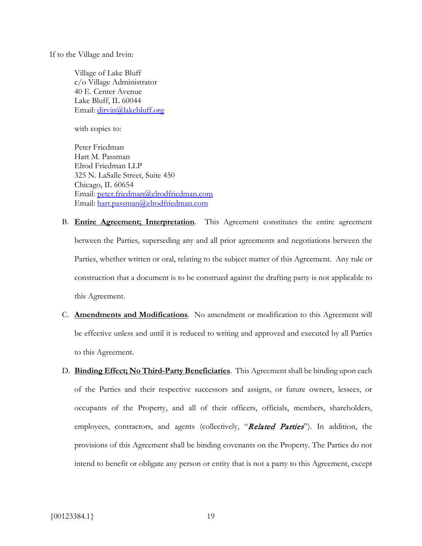If to the Village and Irvin:

Village of Lake Bluff c/o Village Administrator 40 E. Center Avenue Lake Bluff, IL 60044 Email: [dirvin@lakebluff.org](mailto:dirvin@lakebluff.org)

with copies to:

Peter Friedman Hart M. Passman Elrod Friedman LLP 325 N. LaSalle Street, Suite 450 Chicago, IL 60654 Email: [peter.friedman@elrodfriedman.com](mailto:peter.friedman@elrodfriedman.com) Email: [hart.passman@elrodfriedman.com](mailto:hart.passman@elrodfriedman.com)

- B. **Entire Agreement; Interpretation**. This Agreement constitutes the entire agreement between the Parties, superseding any and all prior agreements and negotiations between the Parties, whether written or oral, relating to the subject matter of this Agreement. Any rule or construction that a document is to be construed against the drafting party is not applicable to this Agreement.
- C. **Amendments and Modifications**. No amendment or modification to this Agreement will be effective unless and until it is reduced to writing and approved and executed by all Parties to this Agreement.
- D. **Binding Effect; No Third-Party Beneficiaries**. This Agreement shall be binding upon each of the Parties and their respective successors and assigns, or future owners, lessees, or occupants of the Property, and all of their officers, officials, members, shareholders, employees, contractors, and agents (collectively, "Related Parties"). In addition, the provisions of this Agreement shall be binding covenants on the Property. The Parties do not intend to benefit or obligate any person or entity that is not a party to this Agreement, except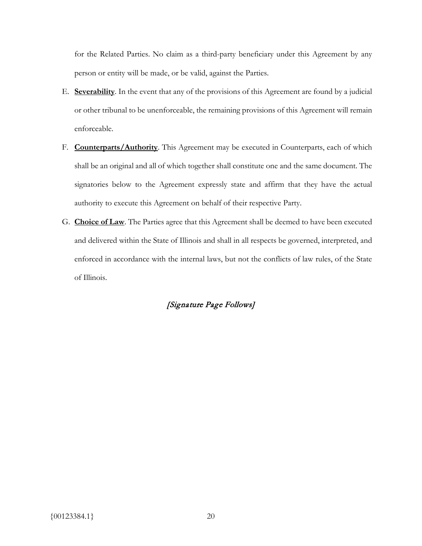for the Related Parties. No claim as a third-party beneficiary under this Agreement by any person or entity will be made, or be valid, against the Parties.

- E. **Severability**. In the event that any of the provisions of this Agreement are found by a judicial or other tribunal to be unenforceable, the remaining provisions of this Agreement will remain enforceable.
- F. **Counterparts/Authority**. This Agreement may be executed in Counterparts, each of which shall be an original and all of which together shall constitute one and the same document. The signatories below to the Agreement expressly state and affirm that they have the actual authority to execute this Agreement on behalf of their respective Party.
- G. **Choice of Law**. The Parties agree that this Agreement shall be deemed to have been executed and delivered within the State of Illinois and shall in all respects be governed, interpreted, and enforced in accordance with the internal laws, but not the conflicts of law rules, of the State of Illinois.

# [Signature Page Follows]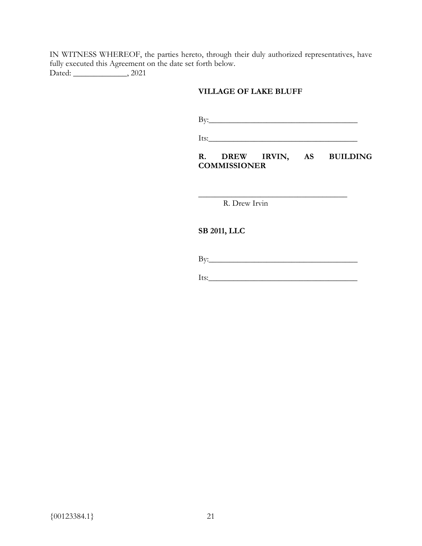IN WITNESS WHEREOF, the parties hereto, through their duly authorized representatives, have fully executed this Agreement on the date set forth below. Dated: \_\_\_\_\_\_\_\_\_\_\_\_\_\_\_\_, 2021

#### **VILLAGE OF LAKE BLUFF**

 $\mathrm{By:}\qquad \qquad$ 

 $Its:\_\_\_\_\_\_\_\_\_\_\_\_\_$ 

# **R. DREW IRVIN, AS BUILDING COMMISSIONER**

R. Drew Irvin

# **SB 2011, LLC**

 $\mathrm{By:}$ 

\_\_\_\_\_\_\_\_\_\_\_\_\_\_\_\_\_\_\_\_\_\_\_\_\_\_\_\_\_\_\_\_\_\_\_\_

 $Its:$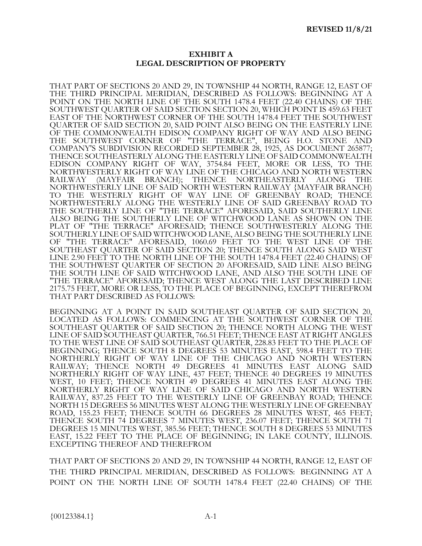#### **EXHIBIT A LEGAL DESCRIPTION OF PROPERTY**

THAT PART OF SECTIONS 20 AND 29, IN TOWNSHIP 44 NORTH, RANGE 12, EAST OF THE THIRD PRINCIPAL MERIDIAN, DESCRIBED AS FOLLOWS: BEGINNING AT A POINT ON THE NORTH LINE OF THE SOUTH 1478.4 FEET (22.40 CHAINS) OF THE SOUTHWEST QUARTER OF SAID SECTION SECTION 20, WHICH POINT IS 459.63 FEET EAST OF THE NORTHWEST CORNER OF THE SOUTH 1478.4 FEET THE SOUTHWEST QUARTER OF SAID SECTION 20, SAID POINT ALSO BEING ON THE EASTERLY LINE OF THE COMMONWEALTH EDISON COMPANY RIGHT OF WAY AND ALSO BEING THE SOUTHWEST CORNER OF "THE TERRACE", BEING H.O. STONE AND COMPANY'S SUBDIVISION RECORDED SEPTEMBER 28, 1925, AS DOCUMENT 265877; THENCE SOUTHEASTERLY ALONG THE EASTERLY LINE OF SAID COMMONWEALTH EDISON COMPANY RIGHT OF WAY, 3754.84 FEET, MORE OR LESS, TO THE NORTHWESTERLY RIGHT OF WAY LINE OF THE CHICAGO AND NORTH WESTERN RAILWAY (MAYFAIR BRANCH); THENCE NORTHEASTERLY ALONG THE NORTHWESTERLY LINE OF SAID NORTH WESTERN RAILWAY {MAYFAIR BRANCH) TO THE WESTERLY RIGHT OF WAY LINE OF GREENBAY ROAD; THENCE NORTHWESTERLY ALONG THE WESTERLY LINE OF SAID GREENBAY ROAD TO THE SOUTHERLY LINE OF "THE TERRACE" AFORESAID, SAID SOUTHERLY LINE ALSO BEING THE SOUTHERLY LINE OF WITCHWOOD LANE AS SHOWN ON THE PLAT OF "THE TERRACE" AFORESAID; THENCE SOUTHWESTERLY ALONG THE SOUTHERLY LINE OF SAID WITCHWOOD LANE, ALSO BEING THE SOUTHERLY LINE OF "THE TERRACE" AFORESAID, 1060.69 FEET TO THE WEST LINE OF THE SOUTHEAST QUARTER OF SAID SECTION 20; THENCE SOUTH ALONG SAID WEST LINE 2.90 FEET TO THE NORTH LINE OF THE SOUTH 1478.4 FEET (22.40 CHAINS) OF THE SOUTHWEST QUARTER OF SECTION 20 AFORESAID, SAID LINE ALSO BEING THE SOUTH LINE OF SAID WITCHWOOD LANE, AND ALSO THE SOUTH LINE OF "THE TERRACE" AFORESAID; THENCE WEST ALONG THE LAST DESCRIBED LINE 2175.75 FEET, MORE OR LESS, TO THE PLACE OF BEGINNING, EXCEPT THEREFROM THAT PART DESCRIBED AS FOLLOWS:

BEGINNING AT A POINT IN SAID SOUTHEAST QUARTER OF SAID SECTION 20, LOCATED AS FOLLOWS: COMMENCING AT THE SOUTHWEST CORNER OF THE SOUTHEAST QUARTER OF SAID SECTION 20; THENCE NORTH ALONG THE WEST LINE OF SAID SOUTHEAST QUARTER, 766.51 FEET; THENCE EAST AT RIGHT ANGLES TO THE WEST LINE OF SAID SOUTHEAST QUARTER, 228.83 FEET TO THE PLACE OF BEGINNING; THENCE SOUTH 8 DEGREES 53 MINUTES EAST, 598.4 FEET TO THE NORTHERLY RIGHT OF WAY LINE OF THE CHICAGO AND NORTH WESTERN RAILWAY; THENCE NORTH 49 DEGREES 41 MINUTES EAST ALONG SAID NORTHERLY RIGHT OF WAY LINE, 437 FEET; THENCE 40 DEGREES 19 MINUTES WEST, 10 FEET; THENCE NORTH 49 DEGREES 41 MINUTES EAST ALONG THE NORTHERLY RIGHT OF WAY LINE OF SAID CHICAGO AND NORTH WESTERN RAILWAY, 837.25 FEET TO THE WESTERLY LINE OF GREENBAY ROAD; THENCE NORTH 15 DEGREES 56 MINUTES WEST ALONG THE WESTERLY LINE OF GREENBAY ROAD, 155.23 FEET; THENCE SOUTH 66 DEGREES 28 MINUTES WEST, 465 FEET; THENCE SOUTH 74 DEGREES 7 MINUTES WEST, 236.07 FEET; THENCE SOUTH 71 DEGREES 15 MINUTES WEST, 385.56 FEET; THENCE SOUTH 8 DEGREES 53 MINUTES EAST, 15.22 FEET TO THE PLACE OF BEGINNING; IN LAKE COUNTY, ILLINOIS. EXCEPTING THEREOF AND THEREFROM

THAT PART OF SECTIONS 20 AND 29, IN TOWNSHIP 44 NORTH, RANGE 12, EAST OF THE THIRD PRINCIPAL MERIDIAN, DESCRIBED AS FOLLOWS: BEGINNING AT A POINT ON THE NORTH LINE OF SOUTH 1478.4 FEET (22.40 CHAINS) OF THE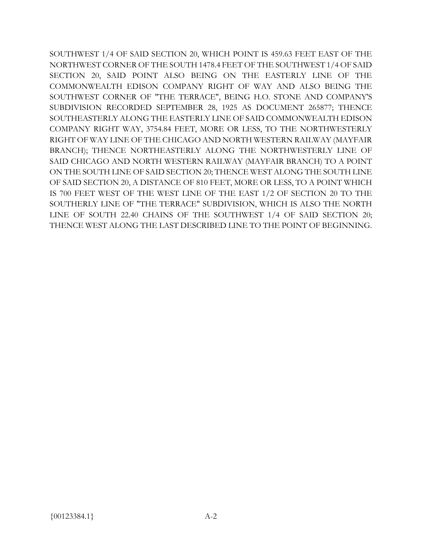SOUTHWEST 1/4 OF SAID SECTION 20, WHICH POINT IS 459.63 FEET EAST OF THE NORTHWEST CORNER OF THE SOUTH 1478.4 FEET OF THE SOUTHWEST 1/4 OF SAID SECTION 20, SAID POINT ALSO BEING ON THE EASTERLY LINE OF THE COMMONWEALTH EDISON COMPANY RIGHT OF WAY AND ALSO BEING THE SOUTHWEST CORNER OF "THE TERRACE", BEING H.O. STONE AND COMPANY'S SUBDIVISION RECORDED SEPTEMBER 28, 1925 AS DOCUMENT 265877; THENCE SOUTHEASTERLY ALONG THE EASTERLY LINE OF SAID COMMONWEALTH EDISON COMPANY RIGHT WAY, 3754.84 FEET, MORE OR LESS, TO THE NORTHWESTERLY RIGHT OF WAY LINE OF THE CHICAGO AND NORTH WESTERN RAILWAY (MAYFAIR BRANCH); THENCE NORTHEASTERLY ALONG THE NORTHWESTERLY LINE OF SAID CHICAGO AND NORTH WESTERN RAILWAY (MAYFAIR BRANCH) TO A POINT ON THE SOUTH LINE OF SAID SECTION 20; THENCE WEST ALONG THE SOUTH LINE OF SAID SECTION 20, A DISTANCE OF 810 FEET, MORE OR LESS, TO A POINT WHICH IS 700 FEET WEST OF THE WEST LINE OF THE EAST 1/2 OF SECTION 20 TO THE SOUTHERLY LINE OF "THE TERRACE" SUBDIVISION, WHICH IS ALSO THE NORTH LINE OF SOUTH 22.40 CHAINS OF THE SOUTHWEST 1/4 OF SAID SECTION 20; THENCE WEST ALONG THE LAST DESCRIBED LINE TO THE POINT OF BEGINNING.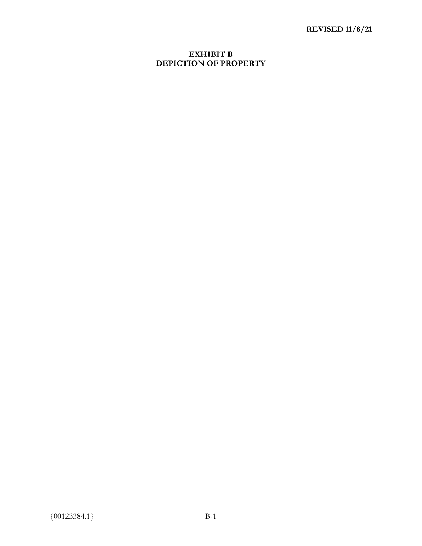# **REVISED 11/8/21**

### **EXHIBIT B DEPICTION OF PROPERTY**

 ${00123384.1}$  B-1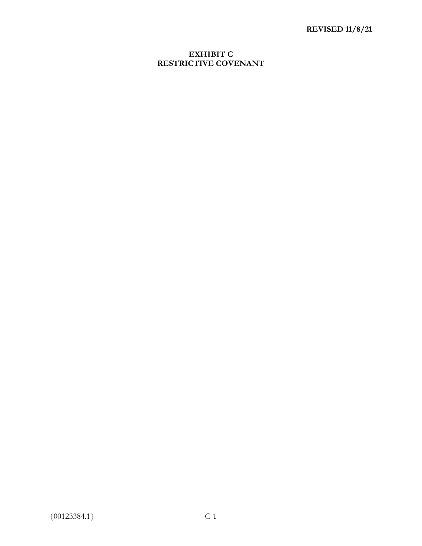# **REVISED 11/8/21**

## **EXHIBIT C RESTRICTIVE COVENANT**

 ${00123384.1}$  C-1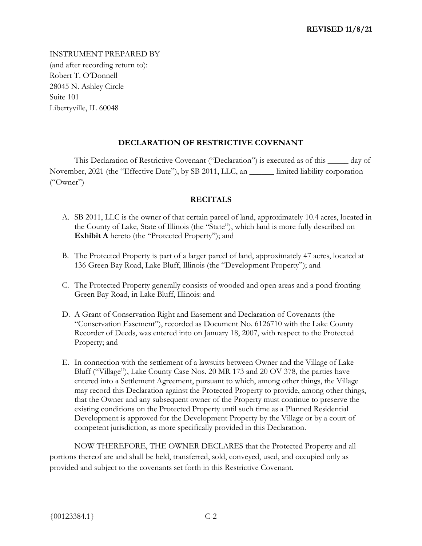INSTRUMENT PREPARED BY (and after recording return to): Robert T. O'Donnell 28045 N. Ashley Circle Suite 101 Libertyville, IL 60048

## **DECLARATION OF RESTRICTIVE COVENANT**

This Declaration of Restrictive Covenant ("Declaration") is executed as of this \_\_\_\_\_ day of November, 2021 (the "Effective Date"), by SB 2011, LLC, an \_\_\_\_\_\_ limited liability corporation ("Owner")

### **RECITALS**

- A. SB 2011, LLC is the owner of that certain parcel of land, approximately 10.4 acres, located in the County of Lake, State of Illinois (the "State"), which land is more fully described on **Exhibit A** hereto (the "Protected Property"); and
- B. The Protected Property is part of a larger parcel of land, approximately 47 acres, located at 136 Green Bay Road, Lake Bluff, Illinois (the "Development Property"); and
- C. The Protected Property generally consists of wooded and open areas and a pond fronting Green Bay Road, in Lake Bluff, Illinois: and
- D. A Grant of Conservation Right and Easement and Declaration of Covenants (the "Conservation Easement"), recorded as Document No. 6126710 with the Lake County Recorder of Deeds, was entered into on January 18, 2007, with respect to the Protected Property; and
- E. In connection with the settlement of a lawsuits between Owner and the Village of Lake Bluff ("Village"), Lake County Case Nos. 20 MR 173 and 20 OV 378, the parties have entered into a Settlement Agreement, pursuant to which, among other things, the Village may record this Declaration against the Protected Property to provide, among other things, that the Owner and any subsequent owner of the Property must continue to preserve the existing conditions on the Protected Property until such time as a Planned Residential Development is approved for the Development Property by the Village or by a court of competent jurisdiction, as more specifically provided in this Declaration.

NOW THEREFORE, THE OWNER DECLARES that the Protected Property and all portions thereof are and shall be held, transferred, sold, conveyed, used, and occupied only as provided and subject to the covenants set forth in this Restrictive Covenant.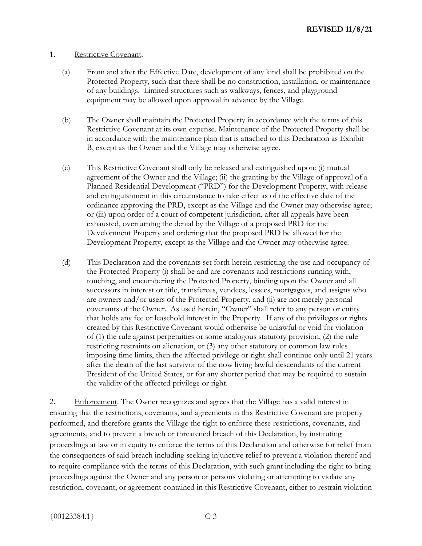### 1. Restrictive Covenant.

- (a) From and after the Effective Date, development of any kind shall be prohibited on the Protected Property, such that there shall be no construction, installation, or maintenance of any buildings. Limited structures such as walkways, fences, and playground equipment may be allowed upon approval in advance by the Village.
- (b) The Owner shall maintain the Protected Property in accordance with the terms of this Restrictive Covenant at its own expense. Maintenance of the Protected Property shall be in accordance with the maintenance plan that is attached to this Declaration as Exhibit B, except as the Owner and the Village may otherwise agree.
- (c) This Restrictive Covenant shall only be released and extinguished upon: (i) mutual agreement of the Owner and the Village; (ii) the granting by the Village of approval of a Planned Residential Development ("PRD") for the Development Property, with release and extinguishment in this circumstance to take effect as of the effective date of the ordinance approving the PRD, except as the Village and the Owner may otherwise agree; or (iii) upon order of a court of competent jurisdiction, after all appeals have been exhausted, overturning the denial by the Village of a proposed PRD for the Development Property and ordering that the proposed PRD be allowed for the Development Property, except as the Village and the Owner may otherwise agree.
- (d) This Declaration and the covenants set forth herein restricting the use and occupancy of the Protected Property (i) shall be and are covenants and restrictions running with, touching, and encumbering the Protected Property, binding upon the Owner and all successors in interest or title, transferees, vendees, lessees, mortgagees, and assigns who are owners and/or users of the Protected Property, and (ii) are not merely personal covenants of the Owner. As used herein, "Owner" shall refer to any person or entity that holds any fee or leasehold interest in the Property. If any of the privileges or rights created by this Restrictive Covenant would otherwise be unlawful or void for violation of (1) the rule against perpetuities or some analogous statutory provision, (2) the rule restricting restraints on alienation, or (3) any other statutory or common law rules imposing time limits, then the affected privilege or right shall continue only until 21 years after the death of the last survivor of the now living lawful descendants of the current President of the United States, or for any shorter period that may be required to sustain the validity of the affected privilege or right.

2. Enforcement. The Owner recognizes and agrees that the Village has a valid interest in ensuring that the restrictions, covenants, and agreements in this Restrictive Covenant are properly performed, and therefore grants the Village the right to enforce these restrictions, covenants, and agreements, and to prevent a breach or threatened breach of this Declaration, by instituting proceedings at law or in equity to enforce the terms of this Declaration and otherwise for relief from the consequences of said breach including seeking injunctive relief to prevent a violation thereof and to require compliance with the terms of this Declaration, with such grant including the right to bring proceedings against the Owner and any person or persons violating or attempting to violate any restriction, covenant, or agreement contained in this Restrictive Covenant, either to restrain violation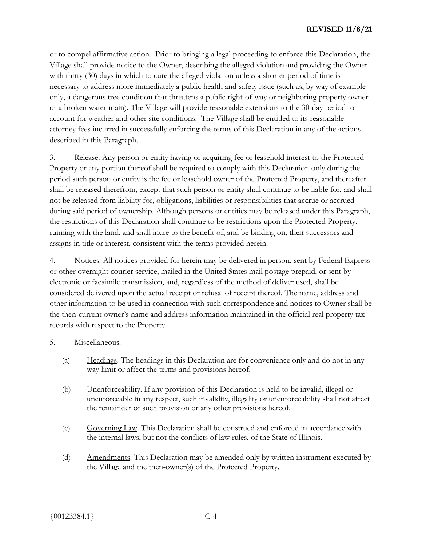or to compel affirmative action. Prior to bringing a legal proceeding to enforce this Declaration, the Village shall provide notice to the Owner, describing the alleged violation and providing the Owner with thirty (30) days in which to cure the alleged violation unless a shorter period of time is necessary to address more immediately a public health and safety issue (such as, by way of example only, a dangerous tree condition that threatens a public right-of-way or neighboring property owner or a broken water main). The Village will provide reasonable extensions to the 30-day period to account for weather and other site conditions. The Village shall be entitled to its reasonable attorney fees incurred in successfully enforcing the terms of this Declaration in any of the actions described in this Paragraph.

3. Release. Any person or entity having or acquiring fee or leasehold interest to the Protected Property or any portion thereof shall be required to comply with this Declaration only during the period such person or entity is the fee or leasehold owner of the Protected Property, and thereafter shall be released therefrom, except that such person or entity shall continue to be liable for, and shall not be released from liability for, obligations, liabilities or responsibilities that accrue or accrued during said period of ownership. Although persons or entities may be released under this Paragraph, the restrictions of this Declaration shall continue to be restrictions upon the Protected Property, running with the land, and shall inure to the benefit of, and be binding on, their successors and assigns in title or interest, consistent with the terms provided herein.

4. Notices. All notices provided for herein may be delivered in person, sent by Federal Express or other overnight courier service, mailed in the United States mail postage prepaid, or sent by electronic or facsimile transmission, and, regardless of the method of deliver used, shall be considered delivered upon the actual receipt or refusal of receipt thereof. The name, address and other information to be used in connection with such correspondence and notices to Owner shall be the then-current owner's name and address information maintained in the official real property tax records with respect to the Property.

### 5. Miscellaneous.

- (a) Headings. The headings in this Declaration are for convenience only and do not in any way limit or affect the terms and provisions hereof.
- (b) Unenforceability. If any provision of this Declaration is held to be invalid, illegal or unenforceable in any respect, such invalidity, illegality or unenforceability shall not affect the remainder of such provision or any other provisions hereof.
- (c) Governing Law. This Declaration shall be construed and enforced in accordance with the internal laws, but not the conflicts of law rules, of the State of Illinois.
- (d) Amendments. This Declaration may be amended only by written instrument executed by the Village and the then-owner(s) of the Protected Property.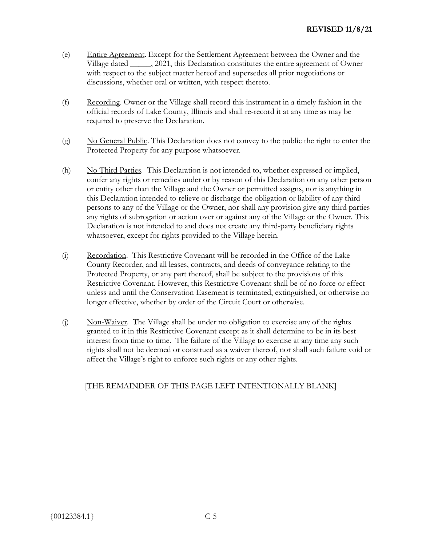- (e) Entire Agreement. Except for the Settlement Agreement between the Owner and the Village dated \_\_\_\_\_, 2021, this Declaration constitutes the entire agreement of Owner with respect to the subject matter hereof and supersedes all prior negotiations or discussions, whether oral or written, with respect thereto.
- (f) Recording. Owner or the Village shall record this instrument in a timely fashion in the official records of Lake County, Illinois and shall re-record it at any time as may be required to preserve the Declaration.
- (g) No General Public. This Declaration does not convey to the public the right to enter the Protected Property for any purpose whatsoever.
- (h) No Third Parties. This Declaration is not intended to, whether expressed or implied, confer any rights or remedies under or by reason of this Declaration on any other person or entity other than the Village and the Owner or permitted assigns, nor is anything in this Declaration intended to relieve or discharge the obligation or liability of any third persons to any of the Village or the Owner, nor shall any provision give any third parties any rights of subrogation or action over or against any of the Village or the Owner. This Declaration is not intended to and does not create any third-party beneficiary rights whatsoever, except for rights provided to the Village herein.
- (i) Recordation. This Restrictive Covenant will be recorded in the Office of the Lake County Recorder, and all leases, contracts, and deeds of conveyance relating to the Protected Property, or any part thereof, shall be subject to the provisions of this Restrictive Covenant. However, this Restrictive Covenant shall be of no force or effect unless and until the Conservation Easement is terminated, extinguished, or otherwise no longer effective, whether by order of the Circuit Court or otherwise.
- (j) Non-Waiver. The Village shall be under no obligation to exercise any of the rights granted to it in this Restrictive Covenant except as it shall determine to be in its best interest from time to time. The failure of the Village to exercise at any time any such rights shall not be deemed or construed as a waiver thereof, nor shall such failure void or affect the Village's right to enforce such rights or any other rights.

## [THE REMAINDER OF THIS PAGE LEFT INTENTIONALLY BLANK]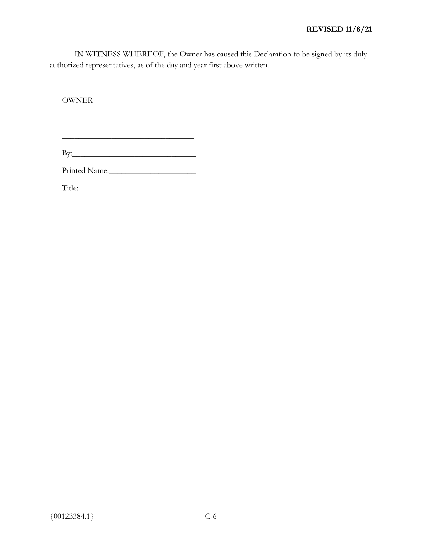## **REVISED 11/8/21**

IN WITNESS WHEREOF, the Owner has caused this Declaration to be signed by its duly authorized representatives, as of the day and year first above written.

OWNER

 $\mathbf{By:}\qquad \qquad$ 

\_\_\_\_\_\_\_\_\_\_\_\_\_\_\_\_\_\_\_\_\_\_\_\_\_\_\_\_\_\_\_\_

Printed Name:\_\_\_\_\_\_\_\_\_\_\_\_\_\_\_\_\_\_\_\_\_

Title:\_\_\_\_\_\_\_\_\_\_\_\_\_\_\_\_\_\_\_\_\_\_\_\_\_\_\_\_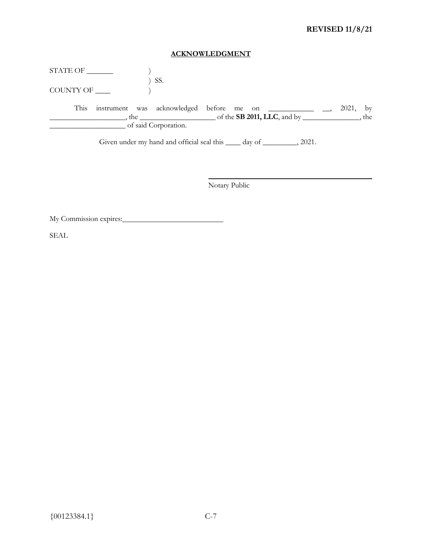### **ACKNOWLEDGMENT**

 $\begin{minipage}{.4\linewidth} \textbf{STATE OF} \hspace{0.03cm} \begin{minipage}{.4\linewidth} \end{minipage} \begin{minipage}{.4\linewidth} \end{minipage} \begin{minipage}{.4\linewidth} \begin{minipage}{.4\linewidth} \begin{minipage}{.4\linewidth} \end{minipage} \begin{minipage}{.4\linewidth} \end{minipage} \begin{minipage}{.4\linewidth} \end{minipage} \begin{minipage}{.4\linewidth} \end{minipage} \begin{minipage}{.4\linewidth} \end{minipage} \begin{minipage}{.4\linewidth} \begin{minipage}{.4\linewidth} \end{minipage} \begin{$ ) SS. COUNTY OF \_\_\_\_ ) This instrument was acknowledged before me on \_\_\_\_\_\_\_\_\_\_\_\_ \_\_, 2021, by \_\_\_\_\_\_\_\_\_\_\_\_\_\_\_\_\_\_\_\_, the \_\_\_\_\_\_\_\_\_\_\_\_\_\_\_\_\_\_\_\_ of the **SB 2011, LLC**, and by \_\_\_\_\_\_\_\_\_\_\_\_\_\_\_, the \_\_\_\_\_\_\_\_\_\_\_\_\_\_\_\_\_\_\_\_ of said Corporation. Given under my hand and official seal this \_\_\_\_ day of \_\_\_\_\_\_\_\_\_, 2021.

Notary Public

My Commission expires:

SEAL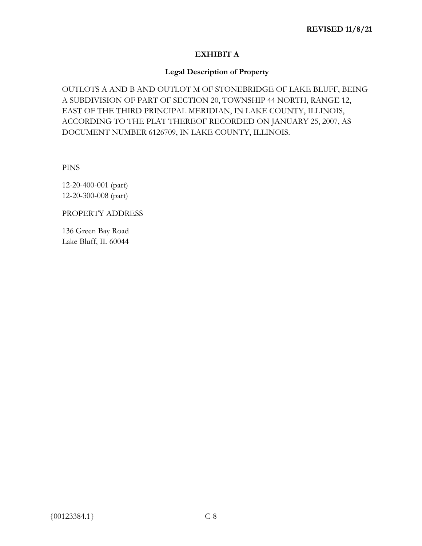# **EXHIBIT A**

# **Legal Description of Property**

OUTLOTS A AND B AND OUTLOT M OF STONEBRIDGE OF LAKE BLUFF, BEING A SUBDIVISION OF PART OF SECTION 20, TOWNSHIP 44 NORTH, RANGE 12, EAST OF THE THIRD PRINCIPAL MERIDIAN, IN LAKE COUNTY, ILLINOIS, ACCORDING TO THE PLAT THEREOF RECORDED ON JANUARY 25, 2007, AS DOCUMENT NUMBER 6126709, IN LAKE COUNTY, ILLINOIS.

PINS

12-20-400-001 (part) 12-20-300-008 (part)

PROPERTY ADDRESS

136 Green Bay Road Lake Bluff, IL 60044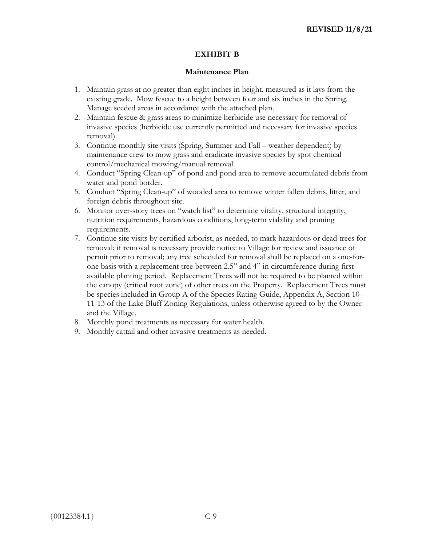## **EXHIBIT B**

#### **Maintenance Plan**

- 1. Maintain grass at no greater than eight inches in height, measured as it lays from the existing grade. Mow fescue to a height between four and six inches in the Spring. Manage seeded areas in accordance with the attached plan.
- 2. Maintain fescue & grass areas to minimize herbicide use necessary for removal of invasive species (herbicide use currently permitted and necessary for invasive species removal).
- 3. Continue monthly site visits (Spring, Summer and Fall weather dependent) by maintenance crew to mow grass and eradicate invasive species by spot chemical control/mechanical mowing/manual removal.
- 4. Conduct "Spring Clean-up" of pond and pond area to remove accumulated debris from water and pond border.
- 5. Conduct "Spring Clean-up" of wooded area to remove winter fallen debris, litter, and foreign debris throughout site.
- 6. Monitor over-story trees on "watch list" to determine vitality, structural integrity, nutrition requirements, hazardous conditions, long-term viability and pruning requirements.
- 7. Continue site visits by certified arborist, as needed, to mark hazardous or dead trees for removal; if removal is necessary provide notice to Village for review and issuance of permit prior to removal; any tree scheduled for removal shall be replaced on a one-forone basis with a replacement tree between 2.5" and 4" in circumference during first available planting period. Replacement Trees will not be required to be planted within the canopy (critical root zone) of other trees on the Property. Replacement Trees must be species included in Group A of the Species Rating Guide, Appendix A, Section 10- 11-13 of the Lake Bluff Zoning Regulations, unless otherwise agreed to by the Owner and the Village.
- 8. Monthly pond treatments as necessary for water health.
- 9. Monthly cattail and other invasive treatments as needed.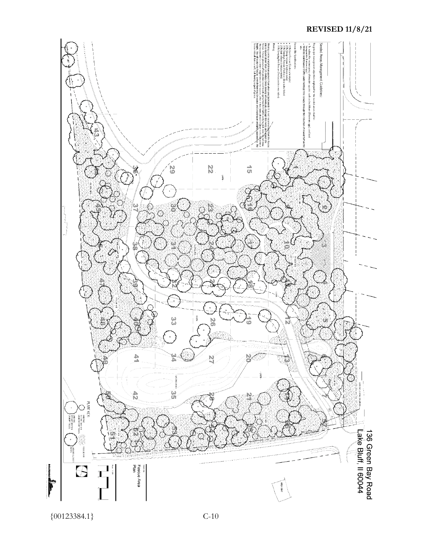

 ${00123384.1}$  C-10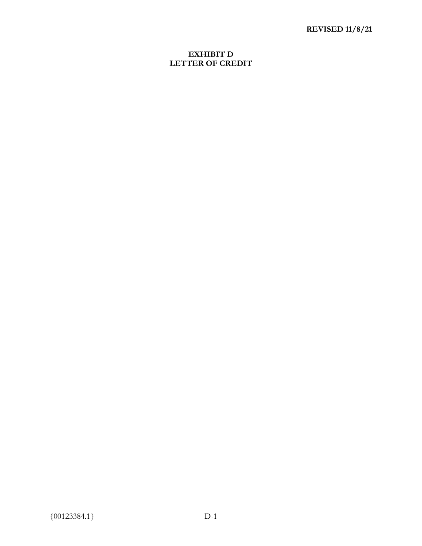# **REVISED 11/8/21**

### **EXHIBIT D LETTER OF CREDIT**

{00123384.1} D-1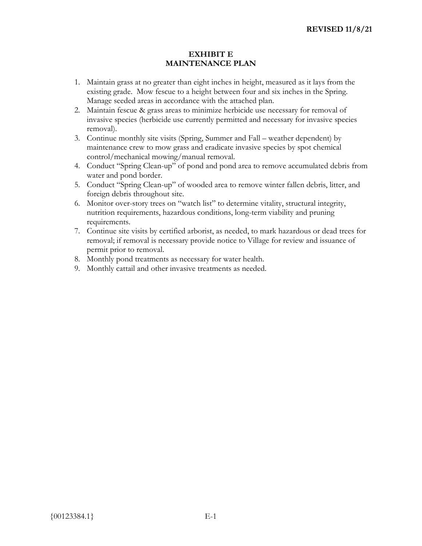### **EXHIBIT E MAINTENANCE PLAN**

- 1. Maintain grass at no greater than eight inches in height, measured as it lays from the existing grade. Mow fescue to a height between four and six inches in the Spring. Manage seeded areas in accordance with the attached plan.
- 2. Maintain fescue & grass areas to minimize herbicide use necessary for removal of invasive species (herbicide use currently permitted and necessary for invasive species removal).
- 3. Continue monthly site visits (Spring, Summer and Fall weather dependent) by maintenance crew to mow grass and eradicate invasive species by spot chemical control/mechanical mowing/manual removal.
- 4. Conduct "Spring Clean-up" of pond and pond area to remove accumulated debris from water and pond border.
- 5. Conduct "Spring Clean-up" of wooded area to remove winter fallen debris, litter, and foreign debris throughout site.
- 6. Monitor over-story trees on "watch list" to determine vitality, structural integrity, nutrition requirements, hazardous conditions, long-term viability and pruning requirements.
- 7. Continue site visits by certified arborist, as needed, to mark hazardous or dead trees for removal; if removal is necessary provide notice to Village for review and issuance of permit prior to removal.
- 8. Monthly pond treatments as necessary for water health.
- 9. Monthly cattail and other invasive treatments as needed.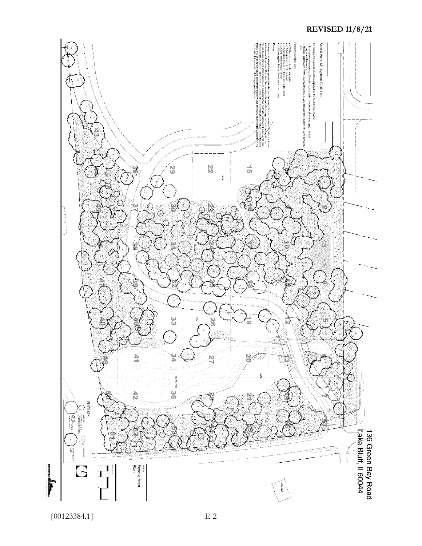